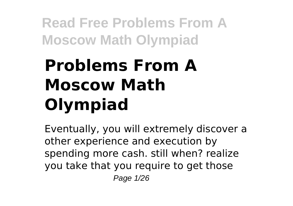# **Problems From A Moscow Math Olympiad**

Eventually, you will extremely discover a other experience and execution by spending more cash. still when? realize you take that you require to get those Page 1/26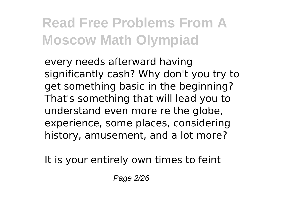every needs afterward having significantly cash? Why don't you try to get something basic in the beginning? That's something that will lead you to understand even more re the globe, experience, some places, considering history, amusement, and a lot more?

It is your entirely own times to feint

Page 2/26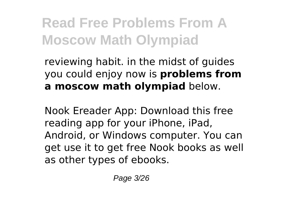reviewing habit. in the midst of guides you could enjoy now is **problems from a moscow math olympiad** below.

Nook Ereader App: Download this free reading app for your iPhone, iPad, Android, or Windows computer. You can get use it to get free Nook books as well as other types of ebooks.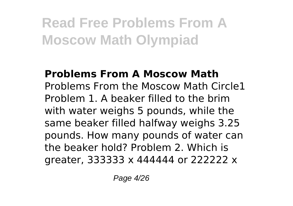#### **Problems From A Moscow Math** Problems From the Moscow Math Circle1 Problem 1. A beaker filled to the brim with water weighs 5 pounds, while the same beaker filled halfway weighs 3.25 pounds. How many pounds of water can the beaker hold? Problem 2. Which is greater, 333333 x 444444 or 222222 x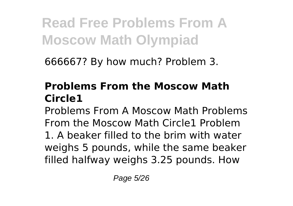666667? By how much? Problem 3.

### **Problems From the Moscow Math Circle1**

Problems From A Moscow Math Problems From the Moscow Math Circle1 Problem 1. A beaker filled to the brim with water weighs 5 pounds, while the same beaker filled halfway weighs 3.25 pounds. How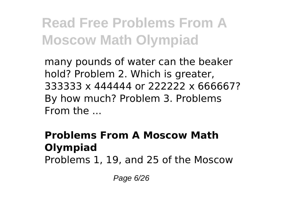many pounds of water can the beaker hold? Problem 2. Which is greater, 333333 x 444444 or 222222 x 666667? By how much? Problem 3. Problems  $From the$ 

#### **Problems From A Moscow Math Olympiad** Problems 1, 19, and 25 of the Moscow

Page 6/26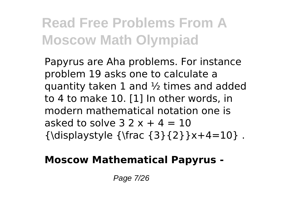Papyrus are Aha problems. For instance problem 19 asks one to calculate a quantity taken 1 and  $\frac{1}{2}$  times and added to 4 to make 10. [1] In other words, in modern mathematical notation one is asked to solve  $3.2x + 4 = 10$  ${\displaystyle {\frac{3}{2}}x+4=10}$ .

#### **Moscow Mathematical Papyrus -**

Page 7/26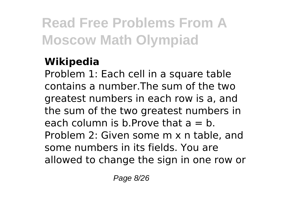### **Wikipedia**

Problem 1: Each cell in a square table contains a number.The sum of the two greatest numbers in each row is a, and the sum of the two greatest numbers in each column is b. Prove that  $a = b$ . Problem 2: Given some m x n table, and some numbers in its fields. You are allowed to change the sign in one row or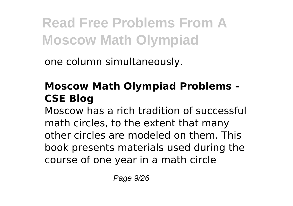one column simultaneously.

### **Moscow Math Olympiad Problems - CSE Blog**

Moscow has a rich tradition of successful math circles, to the extent that many other circles are modeled on them. This book presents materials used during the course of one year in a math circle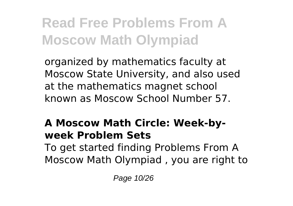organized by mathematics faculty at Moscow State University, and also used at the mathematics magnet school known as Moscow School Number 57.

#### **A Moscow Math Circle: Week-byweek Problem Sets**

To get started finding Problems From A Moscow Math Olympiad , you are right to

Page 10/26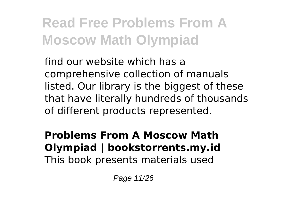find our website which has a comprehensive collection of manuals listed. Our library is the biggest of these that have literally hundreds of thousands of different products represented.

**Problems From A Moscow Math Olympiad | bookstorrents.my.id** This book presents materials used

Page 11/26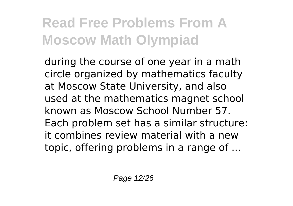during the course of one year in a math circle organized by mathematics faculty at Moscow State University, and also used at the mathematics magnet school known as Moscow School Number 57. Each problem set has a similar structure: it combines review material with a new topic, offering problems in a range of ...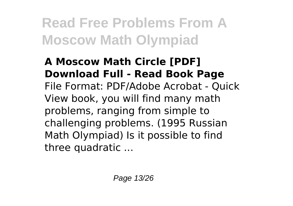#### **A Moscow Math Circle [PDF] Download Full - Read Book Page** File Format: PDF/Adobe Acrobat - Quick View book, you will find many math problems, ranging from simple to challenging problems. (1995 Russian Math Olympiad) Is it possible to find three quadratic ...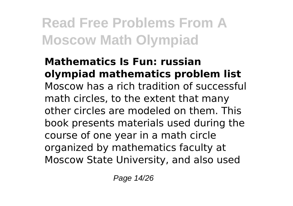**Mathematics Is Fun: russian olympiad mathematics problem list** Moscow has a rich tradition of successful math circles, to the extent that many other circles are modeled on them. This book presents materials used during the course of one year in a math circle organized by mathematics faculty at Moscow State University, and also used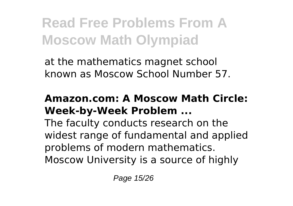at the mathematics magnet school known as Moscow School Number 57.

#### **Amazon.com: A Moscow Math Circle: Week-by-Week Problem ...**

The faculty conducts research on the widest range of fundamental and applied problems of modern mathematics. Moscow University is a source of highly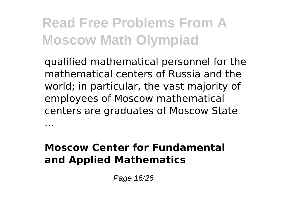qualified mathematical personnel for the mathematical centers of Russia and the world; in particular, the vast majority of employees of Moscow mathematical centers are graduates of Moscow State

#### **Moscow Center for Fundamental and Applied Mathematics**

...

Page 16/26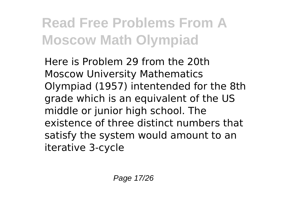Here is Problem 29 from the 20th Moscow University Mathematics Olympiad (1957) intentended for the 8th grade which is an equivalent of the US middle or junior high school. The existence of three distinct numbers that satisfy the system would amount to an iterative 3-cycle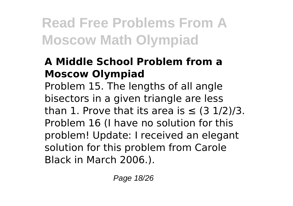### **A Middle School Problem from a Moscow Olympiad**

Problem 15. The lengths of all angle bisectors in a given triangle are less than 1. Prove that its area is  $\leq$  (3 1/2)/3. Problem 16 (I have no solution for this problem! Update: I received an elegant solution for this problem from Carole Black in March 2006.).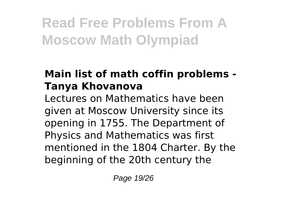### **Main list of math coffin problems - Tanya Khovanova**

Lectures on Mathematics have been given at Moscow University since its opening in 1755. The Department of Physics and Mathematics was first mentioned in the 1804 Charter. By the beginning of the 20th century the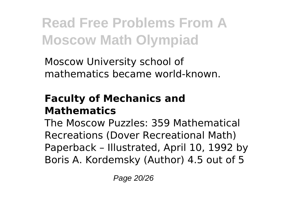Moscow University school of mathematics became world-known.

#### **Faculty of Mechanics and Mathematics**

The Moscow Puzzles: 359 Mathematical Recreations (Dover Recreational Math) Paperback – Illustrated, April 10, 1992 by Boris A. Kordemsky (Author) 4.5 out of 5

Page 20/26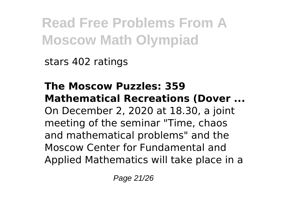stars 402 ratings

**The Moscow Puzzles: 359 Mathematical Recreations (Dover ...** On December 2, 2020 at 18.30, a joint meeting of the seminar "Time, chaos and mathematical problems" and the Moscow Center for Fundamental and Applied Mathematics will take place in a

Page 21/26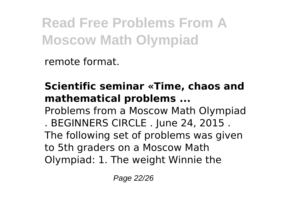remote format.

### **Scientific seminar «Time, chaos and mathematical problems ...**

Problems from a Moscow Math Olympiad . BEGINNERS CIRCLE . June 24, 2015 . The following set of problems was given to 5th graders on a Moscow Math

Olympiad: 1. The weight Winnie the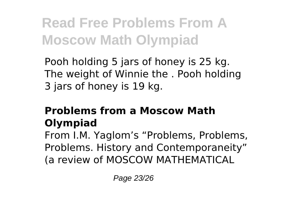Pooh holding 5 jars of honey is 25 kg. The weight of Winnie the . Pooh holding 3 jars of honey is 19 kg.

### **Problems from a Moscow Math Olympiad**

From I.M. Yaglom's "Problems, Problems, Problems. History and Contemporaneity" (a review of MOSCOW MATHEMATICAL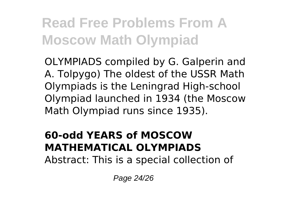OLYMPIADS compiled by G. Galperin and A. Tolpygo) The oldest of the USSR Math Olympiads is the Leningrad High-school Olympiad launched in 1934 (the Moscow Math Olympiad runs since 1935).

### **60-odd YEARS of MOSCOW MATHEMATICAL OLYMPIADS**

Abstract: This is a special collection of

Page 24/26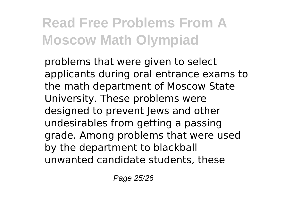problems that were given to select applicants during oral entrance exams to the math department of Moscow State University. These problems were designed to prevent lews and other undesirables from getting a passing grade. Among problems that were used by the department to blackball unwanted candidate students, these